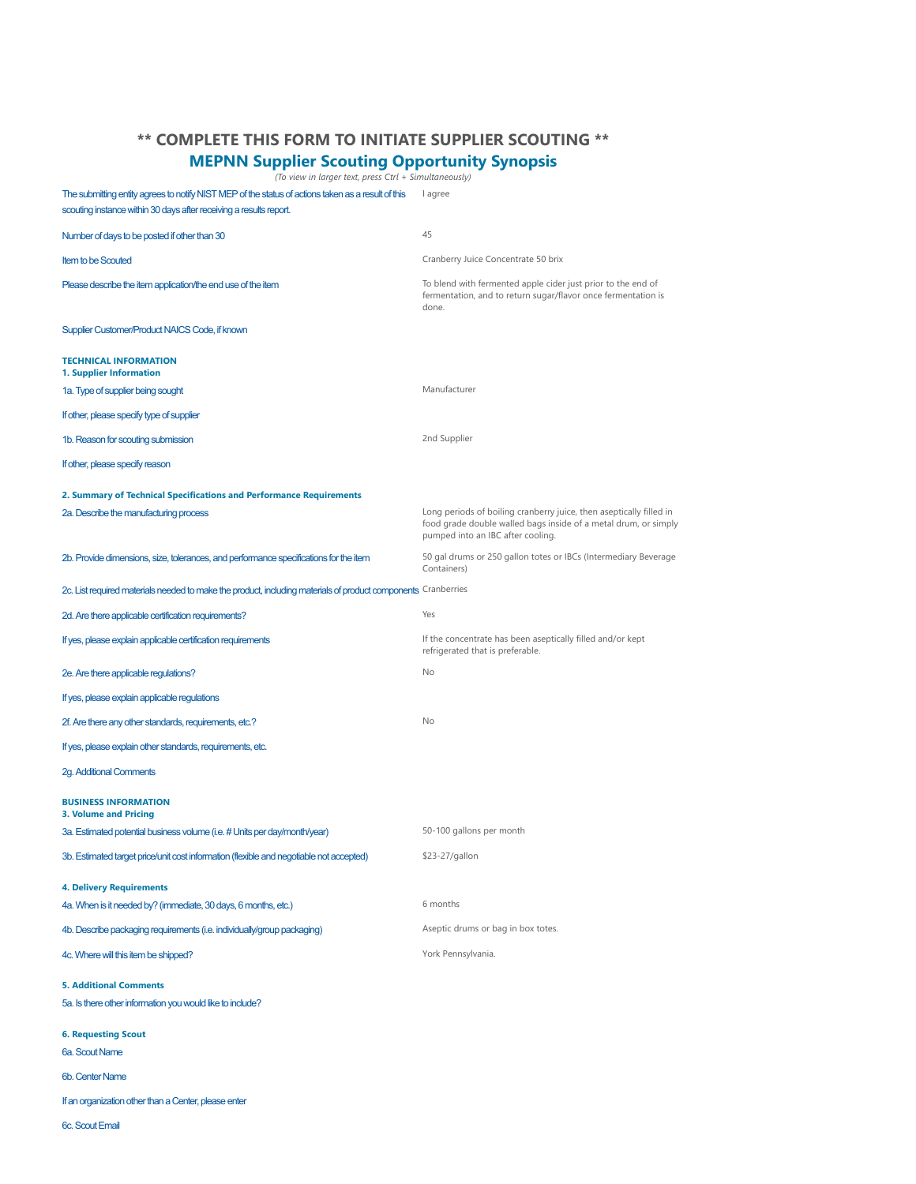## **\*\* COMPLETE THIS FORM TO INITIATE SUPPLIER SCOUTING \*\***

## **MEPNN Supplier Scouting Opportunity Synopsis**

*(To view in larger text, press Ctrl + Simultaneously)*

The submitting entity agrees to notify NIST MEP of the status of actions taken as a result of this lagree scouting instance within 30 days after receiving a results report.

| Number of days to be posted if other than 30                                                                  | 45                                                                                                                                                                          |  |
|---------------------------------------------------------------------------------------------------------------|-----------------------------------------------------------------------------------------------------------------------------------------------------------------------------|--|
| <b>Item to be Scouted</b>                                                                                     | Cranberry Juice Concentrate 50 brix                                                                                                                                         |  |
| Please describe the item application/the end use of the item                                                  | To blend with fermented apple cider just prior to the end of<br>fermentation, and to return sugar/flavor once fermentation is<br>done.                                      |  |
| Supplier Customer/Product NAICS Code, if known                                                                |                                                                                                                                                                             |  |
| <b>TECHNICAL INFORMATION</b><br>1. Supplier Information                                                       |                                                                                                                                                                             |  |
| 1a. Type of supplier being sought                                                                             | Manufacturer                                                                                                                                                                |  |
| If other, please specify type of supplier                                                                     |                                                                                                                                                                             |  |
| 1b. Reason for scouting submission                                                                            | 2nd Supplier                                                                                                                                                                |  |
| If other, please specify reason                                                                               |                                                                                                                                                                             |  |
| 2. Summary of Technical Specifications and Performance Requirements                                           |                                                                                                                                                                             |  |
| 2a. Describe the manufacturing process                                                                        | Long periods of boiling cranberry juice, then aseptically filled in<br>food grade double walled bags inside of a metal drum, or simply<br>pumped into an IBC after cooling. |  |
| 2b. Provide dimensions, size, tolerances, and performance specifications for the item                         | 50 gal drums or 250 gallon totes or IBCs (Intermediary Beverage<br>Containers)                                                                                              |  |
| 2c. List required materials needed to make the product, including materials of product components Cranberries |                                                                                                                                                                             |  |
| 2d. Are there applicable certification requirements?                                                          | Yes                                                                                                                                                                         |  |
| If yes, please explain applicable certification requirements                                                  | If the concentrate has been aseptically filled and/or kept<br>refrigerated that is preferable.                                                                              |  |
| 2e. Are there applicable regulations?                                                                         | No                                                                                                                                                                          |  |
| If yes, please explain applicable regulations                                                                 |                                                                                                                                                                             |  |
| 2f. Are there any other standards, requirements, etc.?                                                        | No                                                                                                                                                                          |  |
| If yes, please explain other standards, requirements, etc.                                                    |                                                                                                                                                                             |  |
| <b>2g. Additional Comments</b>                                                                                |                                                                                                                                                                             |  |
| <b>BUSINESS INFORMATION</b><br><b>3. Volume and Pricing</b>                                                   |                                                                                                                                                                             |  |
| 3a. Estimated potential business volume (i.e. # Units per day/month/year)                                     | 50-100 gallons per month                                                                                                                                                    |  |
| 3b. Estimated target price/unit cost information (flexible and negotiable not accepted)                       | \$23-27/gallon                                                                                                                                                              |  |
| <b>4. Delivery Requirements</b>                                                                               |                                                                                                                                                                             |  |
| 4a. When is it needed by? (immediate, 30 days, 6 months, etc.)                                                | 6 months                                                                                                                                                                    |  |
| 4b. Describe packaging requirements (i.e. individually/group packaging)                                       | Aseptic drums or bag in box totes.                                                                                                                                          |  |
| 4c. Where will this item be shipped?                                                                          | York Pennsylvania.                                                                                                                                                          |  |
| <b>5. Additional Comments</b><br>5a. Is there other information you would like to include?                    |                                                                                                                                                                             |  |
| <b>6. Requesting Scout</b><br>6a. Scout Name                                                                  |                                                                                                                                                                             |  |
| <b>6b. Center Name</b>                                                                                        |                                                                                                                                                                             |  |
| If an organization other than a Center, please enter                                                          |                                                                                                                                                                             |  |
| <b>6c.</b> Scout Email                                                                                        |                                                                                                                                                                             |  |